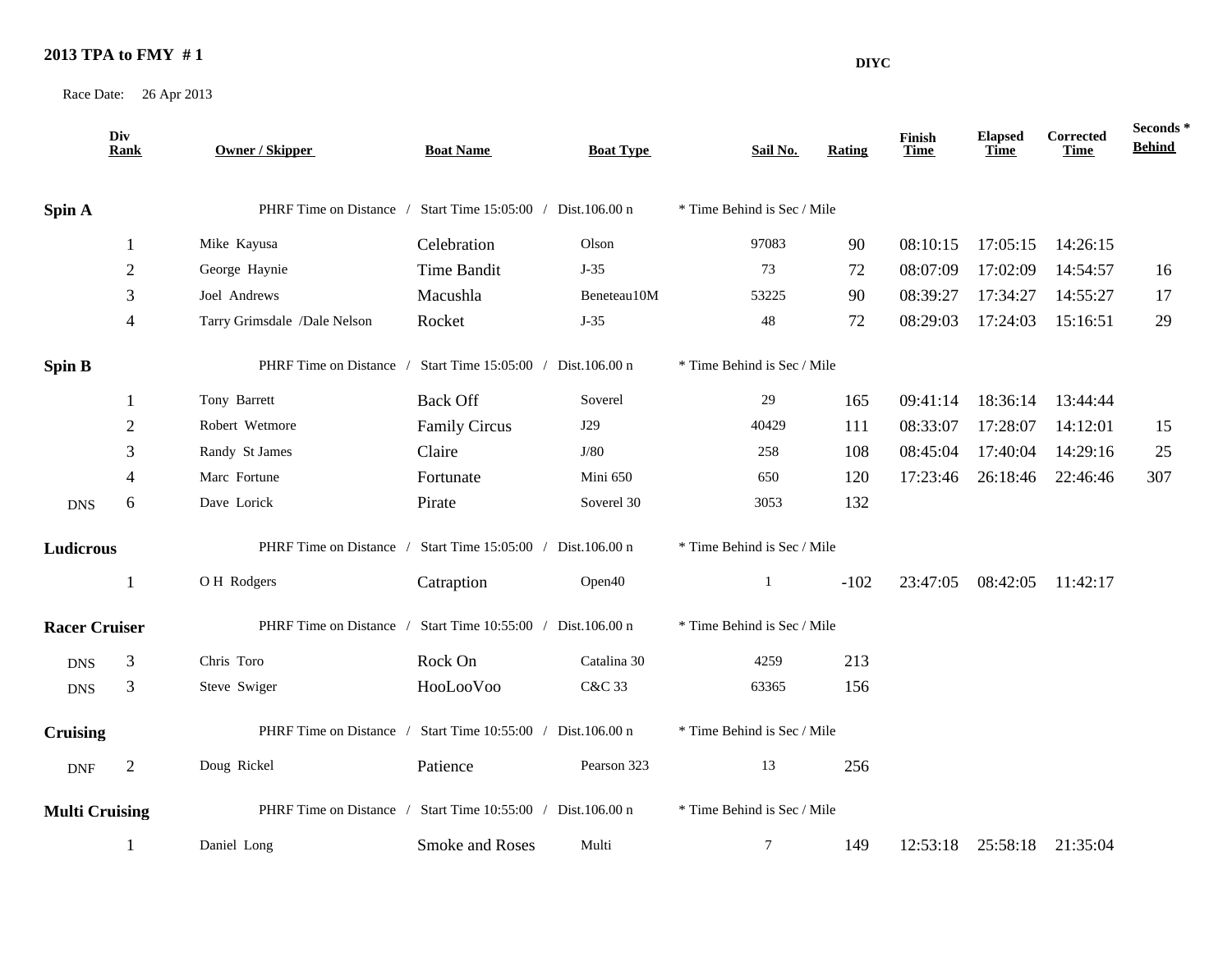## **2013 TPA to FMY # 1**

Race Date: 26 Apr 2013

|                       | Div<br><b>Rank</b> | <b>Owner / Skipper</b>       | <b>Boat Name</b>                                            | <b>Boat Type</b> | Sail No.                    | Rating | Finish<br>Time | <b>Elapsed</b><br><b>Time</b> | Corrected<br>Time          | Seconds *<br><b>Behind</b> |
|-----------------------|--------------------|------------------------------|-------------------------------------------------------------|------------------|-----------------------------|--------|----------------|-------------------------------|----------------------------|----------------------------|
| Spin A                |                    |                              | PHRF Time on Distance / Start Time 15:05:00 / Dist.106.00 n |                  | * Time Behind is Sec / Mile |        |                |                               |                            |                            |
|                       | 1                  | Mike Kayusa                  | Celebration                                                 | Olson            | 97083                       | 90     | 08:10:15       | 17:05:15                      | 14:26:15                   |                            |
|                       | 2                  | George Haynie                | Time Bandit                                                 | $J-35$           | 73                          | 72     | 08:07:09       | 17:02:09                      | 14:54:57                   | 16                         |
|                       | 3                  | Joel Andrews                 | Macushla                                                    | Beneteau10M      | 53225                       | 90     | 08:39:27       | 17:34:27                      | 14:55:27                   | 17                         |
|                       | 4                  | Tarry Grimsdale /Dale Nelson | Rocket                                                      | $J-35$           | 48                          | 72     | 08:29:03       | 17:24:03                      | 15:16:51                   | 29                         |
| Spin B                |                    | PHRF Time on Distance /      | Start Time 15:05:00 / Dist.106.00 n                         |                  | * Time Behind is Sec / Mile |        |                |                               |                            |                            |
|                       |                    | Tony Barrett                 | <b>Back Off</b>                                             | Soverel          | 29                          | 165    | 09:41:14       | 18:36:14                      | 13:44:44                   |                            |
|                       | 2                  | Robert Wetmore               | <b>Family Circus</b>                                        | J29              | 40429                       | 111    | 08:33:07       | 17:28:07                      | 14:12:01                   | 15                         |
|                       | 3                  | Randy St James               | Claire                                                      | J/80             | 258                         | 108    | 08:45:04       | 17:40:04                      | 14:29:16                   | 25                         |
|                       |                    | Marc Fortune                 | Fortunate                                                   | Mini 650         | 650                         | 120    | 17:23:46       | 26:18:46                      | 22:46:46                   | 307                        |
| <b>DNS</b>            | 6                  | Dave Lorick                  | Pirate                                                      | Soverel 30       | 3053                        | 132    |                |                               |                            |                            |
| Ludicrous             |                    | PHRF Time on Distance /      | Start Time 15:05:00 / Dist.106.00 n                         |                  | * Time Behind is Sec / Mile |        |                |                               |                            |                            |
|                       | -1                 | OH Rodgers                   | Catraption                                                  | Open40           | $\mathbf{1}$                | $-102$ | 23:47:05       | 08:42:05                      | 11:42:17                   |                            |
| <b>Racer Cruiser</b>  |                    | PHRF Time on Distance /      | Start Time 10:55:00 / Dist.106.00 n                         |                  | * Time Behind is Sec / Mile |        |                |                               |                            |                            |
| <b>DNS</b>            | 3                  | Chris Toro                   | Rock On                                                     | Catalina 30      | 4259                        | 213    |                |                               |                            |                            |
| <b>DNS</b>            | 3                  | Steve Swiger                 | HooLooVoo                                                   | C&C 33           | 63365                       | 156    |                |                               |                            |                            |
| <b>Cruising</b>       |                    |                              | PHRF Time on Distance / Start Time 10:55:00 / Dist.106.00 n |                  | * Time Behind is Sec / Mile |        |                |                               |                            |                            |
| <b>DNF</b>            | 2                  | Doug Rickel                  | Patience                                                    | Pearson 323      | 13                          | 256    |                |                               |                            |                            |
| <b>Multi Cruising</b> |                    |                              | PHRF Time on Distance / Start Time 10:55:00 / Dist.106.00 n |                  | * Time Behind is Sec / Mile |        |                |                               |                            |                            |
|                       | 1                  | Daniel Long                  | Smoke and Roses                                             | Multi            | $7\phantom{.0}$             | 149    |                |                               | 12:53:18 25:58:18 21:35:04 |                            |

**DIYC**